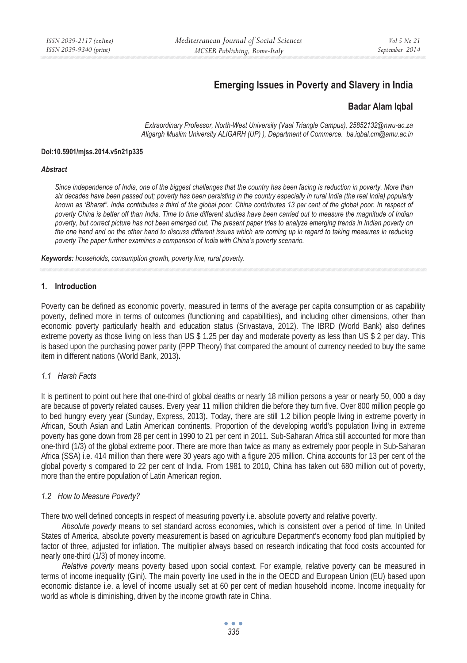# **Emerging Issues in Poverty and Slavery in India**

# **Badar Alam Iqbal**

*Extraordinary Professor, North-West University (Vaal Triangle Campus), 25852132@nwu-ac.za Aligargh Muslim University ALIGARH (UP) ), Department of Commerce. ba.iqbal.cm@amu.ac.in* 

#### **Doi:10.5901/mjss.2014.v5n21p335**

#### *Abstract*

*Since independence of India, one of the biggest challenges that the country has been facing is reduction in poverty. More than six decades have been passed out; poverty has been persisting in the country especially in rural India (the real India) popularly known as 'Bharat". India contributes a third of the global poor. China contributes 13 per cent of the global poor. In respect of poverty China is better off than India. Time to time different studies have been carried out to measure the magnitude of Indian poverty, but correct picture has not been emerged out. The present paper tries to analyze emerging trends in Indian poverty on the one hand and on the other hand to discuss different issues which are coming up in regard to taking measures in reducing poverty The paper further examines a comparison of India with China's poverty scenario.* 

*Keywords: households, consumption growth, poverty line, rural poverty.*

#### **1. Introduction**

Poverty can be defined as economic poverty, measured in terms of the average per capita consumption or as capability poverty, defined more in terms of outcomes (functioning and capabilities), and including other dimensions, other than economic poverty particularly health and education status (Srivastava, 2012). The IBRD (World Bank) also defines extreme poverty as those living on less than US \$ 1.25 per day and moderate poverty as less than US \$ 2 per day. This is based upon the purchasing power parity (PPP Theory) that compared the amount of currency needed to buy the same item in different nations (World Bank, 2013)**.**

### *1.1 Harsh Facts*

It is pertinent to point out here that one-third of global deaths or nearly 18 million persons a year or nearly 50, 000 a day are because of poverty related causes. Every year 11 million children die before they turn five. Over 800 million people go to bed hungry every year (Sunday, Express, 2013)**.** Today, there are still 1.2 billion people living in extreme poverty in African, South Asian and Latin American continents. Proportion of the developing world's population living in extreme poverty has gone down from 28 per cent in 1990 to 21 per cent in 2011. Sub-Saharan Africa still accounted for more than one-third (1/3) of the global extreme poor. There are more than twice as many as extremely poor people in Sub-Saharan Africa (SSA) i.e. 414 million than there were 30 years ago with a figure 205 million. China accounts for 13 per cent of the global poverty s compared to 22 per cent of India. From 1981 to 2010, China has taken out 680 million out of poverty, more than the entire population of Latin American region.

### *1.2 How to Measure Poverty?*

There two well defined concepts in respect of measuring poverty i.e. absolute poverty and relative poverty.

*Absolute poverty* means to set standard across economies, which is consistent over a period of time. In United States of America, absolute poverty measurement is based on agriculture Department's economy food plan multiplied by factor of three, adjusted for inflation. The multiplier always based on research indicating that food costs accounted for nearly one-third (1/3) of money income.

*Relative poverty* means poverty based upon social context. For example, relative poverty can be measured in terms of income inequality (Gini). The main poverty line used in the in the OECD and European Union (EU) based upon economic distance i.e. a level of income usually set at 60 per cent of median household income. Income inequality for world as whole is diminishing, driven by the income growth rate in China.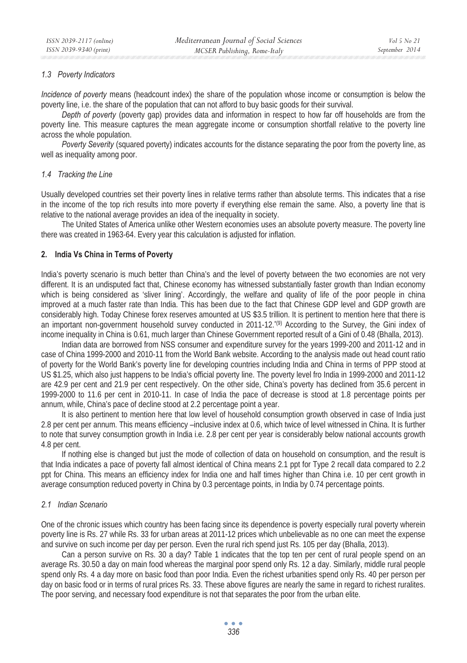### *1.3 Poverty Indicators*

*Incidence of poverty* means (headcount index) the share of the population whose income or consumption is below the poverty line, i.e. the share of the population that can not afford to buy basic goods for their survival.

*Depth of poverty* (poverty gap) provides data and information in respect to how far off households are from the poverty line. This measure captures the mean aggregate income or consumption shortfall relative to the poverty line across the whole population.

*Poverty Severity* (squared poverty) indicates accounts for the distance separating the poor from the poverty line, as well as inequality among poor.

### *1.4 Tracking the Line*

Usually developed countries set their poverty lines in relative terms rather than absolute terms. This indicates that a rise in the income of the top rich results into more poverty if everything else remain the same. Also, a poverty line that is relative to the national average provides an idea of the inequality in society.

The United States of America unlike other Western economies uses an absolute poverty measure. The poverty line there was created in 1963-64. Every year this calculation is adjusted for inflation.

### **2. India Vs China in Terms of Poverty**

India's poverty scenario is much better than China's and the level of poverty between the two economies are not very different. It is an undisputed fact that, Chinese economy has witnessed substantially faster growth than Indian economy which is being considered as 'sliver lining'. Accordingly, the welfare and quality of life of the poor people in china improved at a much faster rate than India. This has been due to the fact that Chinese GDP level and GDP growth are considerably high. Today Chinese forex reserves amounted at US \$3.5 trillion. It is pertinent to mention here that there is an important non-government household survey conducted in 2011-12.<sup>\*(9)</sup> According to the Survey, the Gini index of income inequality in China is 0.61, much larger than Chinese Government reported result of a Gini of 0.48 (Bhalla, 2013).

Indian data are borrowed from NSS consumer and expenditure survey for the years 1999-200 and 2011-12 and in case of China 1999-2000 and 2010-11 from the World Bank website. According to the analysis made out head count ratio of poverty for the World Bank's poverty line for developing countries including India and China in terms of PPP stood at US \$1.25, which also just happens to be India's official poverty line. The poverty level fro India in 1999-2000 and 2011-12 are 42.9 per cent and 21.9 per cent respectively. On the other side, China's poverty has declined from 35.6 percent in 1999-2000 to 11.6 per cent in 2010-11. In case of India the pace of decrease is stood at 1.8 percentage points per annum, while, China's pace of decline stood at 2.2 percentage point a year.

It is also pertinent to mention here that low level of household consumption growth observed in case of India just 2.8 per cent per annum. This means efficiency –inclusive index at 0.6, which twice of level witnessed in China. It is further to note that survey consumption growth in India i.e. 2.8 per cent per year is considerably below national accounts growth 4.8 per cent.

If nothing else is changed but just the mode of collection of data on household on consumption, and the result is that India indicates a pace of poverty fall almost identical of China means 2.1 ppt for Type 2 recall data compared to 2.2 ppt for China. This means an efficiency index for India one and half times higher than China i.e. 10 per cent growth in average consumption reduced poverty in China by 0.3 percentage points, in India by 0.74 percentage points.

### *2.1 Indian Scenario*

One of the chronic issues which country has been facing since its dependence is poverty especially rural poverty wherein poverty line is Rs. 27 while Rs. 33 for urban areas at 2011-12 prices which unbelievable as no one can meet the expense and survive on such income per day per person. Even the rural rich spend just Rs. 105 per day (Bhalla, 2013).

Can a person survive on Rs. 30 a day? Table 1 indicates that the top ten per cent of rural people spend on an average Rs. 30.50 a day on main food whereas the marginal poor spend only Rs. 12 a day. Similarly, middle rural people spend only Rs. 4 a day more on basic food than poor India. Even the richest urbanities spend only Rs. 40 per person per day on basic food or in terms of rural prices Rs. 33. These above figures are nearly the same in regard to richest ruralites. The poor serving, and necessary food expenditure is not that separates the poor from the urban elite.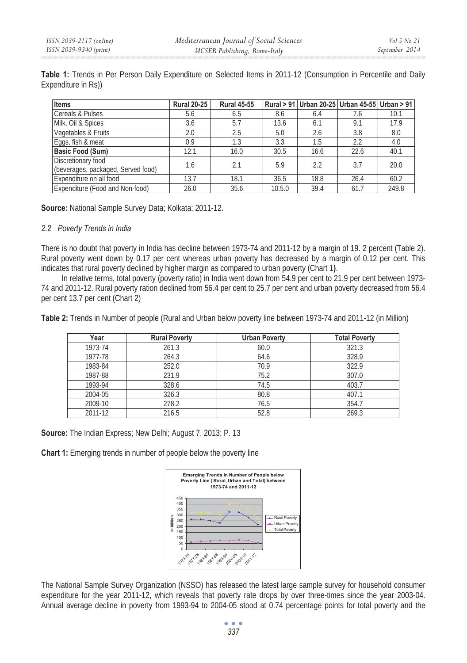**Table 1:** Trends in Per Person Daily Expenditure on Selected Items in 2011-12 (Consumption in Percentile and Daily Expenditure in Rs))

| <b>Items</b>                                             | <b>Rural 20-25</b> | <b>Rural 45-55</b> |        |      | Rural > 91   Urban 20-25   Urban 45-55   Urban > 91 |       |
|----------------------------------------------------------|--------------------|--------------------|--------|------|-----------------------------------------------------|-------|
| <b>Cereals &amp; Pulses</b>                              | 5.6                | 6.5                | 8.6    | 6.4  | 7.6                                                 | 10.1  |
| Milk, Oil & Spices                                       | 3.6                | 5.7                | 13.6   | 6.1  | 9.1                                                 | 17.9  |
| Vegetables & Fruits                                      | 2.0                | 2.5                | 5.0    | 2.6  | 3.8                                                 | 8.0   |
| Eggs, fish & meat                                        | 0.9                | 1.3                | 3.3    | 1.5  | 2.2                                                 | 4.0   |
| <b>Basic Food (Sum)</b>                                  | 12.1               | 16.0               | 30.5   | 16.6 | 22.6                                                | 40.1  |
| Discretionary food<br>(beverages, packaged, Served food) | 1.6                | 2.1                | 5.9    | 22   | 3.7                                                 | 20.0  |
| Expenditure on all food                                  | 13.7               | 18.1               | 36.5   | 18.8 | 26.4                                                | 60.2  |
| Expenditure (Food and Non-food)                          | 26.0               | 35.6               | 10.5.0 | 39.4 | 61.7                                                | 249.8 |

**Source:** National Sample Survey Data; Kolkata; 2011-12.

### *2.2 Poverty Trends in India*

There is no doubt that poverty in India has decline between 1973-74 and 2011-12 by a margin of 19. 2 percent (Table 2). Rural poverty went down by 0.17 per cent whereas urban poverty has decreased by a margin of 0.12 per cent. This indicates that rural poverty declined by higher margin as compared to urban poverty (Chart 1**)**.

In relative terms, total poverty (poverty ratio) in India went down from 54.9 per cent to 21.9 per cent between 1973- 74 and 2011-12. Rural poverty ration declined from 56.4 per cent to 25.7 per cent and urban poverty decreased from 56.4 per cent 13.7 per cent (Chart 2)

**Table 2:** Trends in Number of people (Rural and Urban below poverty line between 1973-74 and 2011-12 (in Million)

| Year    | <b>Rural Poverty</b> | <b>Urban Poverty</b> | <b>Total Poverty</b> |
|---------|----------------------|----------------------|----------------------|
| 1973-74 | 261.3                | 60.0                 | 321.3                |
| 1977-78 | 264.3                | 64.6                 | 328.9                |
| 1983-84 | 252.0                | 70.9                 | 322.9                |
| 1987-88 | 231.9                | 75.2                 | 307.0                |
| 1993-94 | 328.6                | 74.5                 | 403.7                |
| 2004-05 | 326.3                | 80.8                 | 407.1                |
| 2009-10 | 278.2                | 76.5                 | 354.7                |
| 2011-12 | 216.5                | 52.8                 | 269.3                |

**Source:** The Indian Express; New Delhi; August 7, 2013; P. 13

**Chart 1:** Emerging trends in number of people below the poverty line



The National Sample Survey Organization (NSSO) has released the latest large sample survey for household consumer expenditure for the year 2011-12, which reveals that poverty rate drops by over three-times since the year 2003-04. Annual average decline in poverty from 1993-94 to 2004-05 stood at 0.74 percentage points for total poverty and the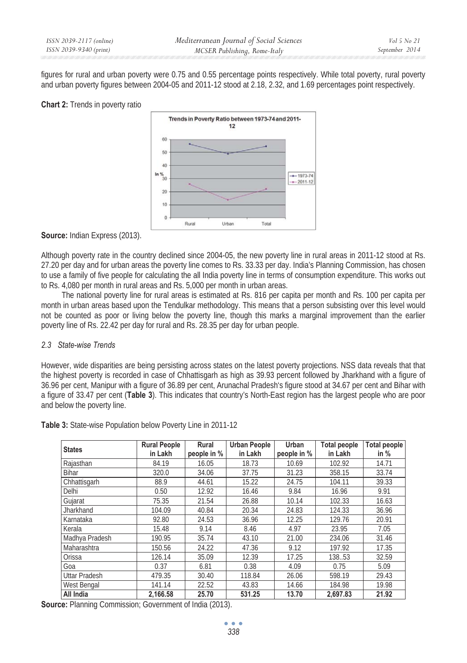figures for rural and urban poverty were 0.75 and 0.55 percentage points respectively. While total poverty, rural poverty and urban poverty figures between 2004-05 and 2011-12 stood at 2.18, 2.32, and 1.69 percentages point respectively.

### **Chart 2:** Trends in poverty ratio



# **Source:** Indian Express (2013).

Although poverty rate in the country declined since 2004-05, the new poverty line in rural areas in 2011-12 stood at Rs. 27.20 per day and for urban areas the poverty line comes to Rs. 33.33 per day. India's Planning Commission, has chosen to use a family of five people for calculating the all India poverty line in terms of consumption expenditure. This works out to Rs. 4,080 per month in rural areas and Rs. 5,000 per month in urban areas.

The national poverty line for rural areas is estimated at Rs. 816 per capita per month and Rs. 100 per capita per month in urban areas based upon the Tendulkar methodology. This means that a person subsisting over this level would not be counted as poor or living below the poverty line, though this marks a marginal improvement than the earlier poverty line of Rs. 22.42 per day for rural and Rs. 28.35 per day for urban people.

# *2.3 State-wise Trends*

However, wide disparities are being persisting across states on the latest poverty projections. NSS data reveals that that the highest poverty is recorded in case of Chhattisgarh as high as 39.93 percent followed by Jharkhand with a figure of 36.96 per cent, Manipur with a figure of 36.89 per cent, Arunachal Pradesh's figure stood at 34.67 per cent and Bihar with a figure of 33.47 per cent (**Table 3**). This indicates that country's North-East region has the largest people who are poor and below the poverty line.

| <b>States</b>        | <b>Rural People</b><br>in Lakh | Rural<br>people in % | <b>Urban People</b><br>in Lakh | Urban<br>people in % | <b>Total people</b><br>in Lakh | <b>Total people</b><br>in $%$ |
|----------------------|--------------------------------|----------------------|--------------------------------|----------------------|--------------------------------|-------------------------------|
| Raiasthan            | 84.19                          | 16.05                | 18.73                          | 10.69                | 102.92                         | 14.71                         |
| <b>Bihar</b>         | 320.0                          | 34.06                | 37.75                          | 31.23                | 358.15                         | 33.74                         |
| Chhattisgarh         | 88.9                           | 44.61                | 15.22                          | 24.75                | 104.11                         | 39.33                         |
| Delhi                | 0.50                           | 12.92                | 16.46                          | 9.84                 | 16.96                          | 9.91                          |
| Gujarat              | 75.35                          | 21.54                | 26.88                          | 10.14                | 102.33                         | 16.63                         |
| Jharkhand            | 104.09                         | 40.84                | 20.34                          | 24.83                | 124.33                         | 36.96                         |
| Karnataka            | 92.80                          | 24.53                | 36.96                          | 12.25                | 129.76                         | 20.91                         |
| Kerala               | 15.48                          | 9.14                 | 8.46                           | 4.97                 | 23.95                          | 7.05                          |
| Madhya Pradesh       | 190.95                         | 35.74                | 43.10                          | 21.00                | 234.06                         | 31.46                         |
| Maharashtra          | 150.56                         | 24.22                | 47.36                          | 9.12                 | 197.92                         | 17.35                         |
| Orissa               | 126.14                         | 35.09                | 12.39                          | 17.25                | 138.53                         | 32.59                         |
| Goa                  | 0.37                           | 6.81                 | 0.38                           | 4.09                 | 0.75                           | 5.09                          |
| <b>Uttar Pradesh</b> | 479.35                         | 30.40                | 118.84                         | 26.06                | 598.19                         | 29.43                         |
| West Bengal          | 141.14                         | 22.52                | 43.83                          | 14.66                | 184.98                         | 19.98                         |
| All India            | 2,166.58                       | 25.70                | 531.25                         | 13.70                | 2.697.83                       | 21.92                         |

**Table 3:** State-wise Population below Poverty Line in 2011-12

**Source:** Planning Commission; Government of India (2013).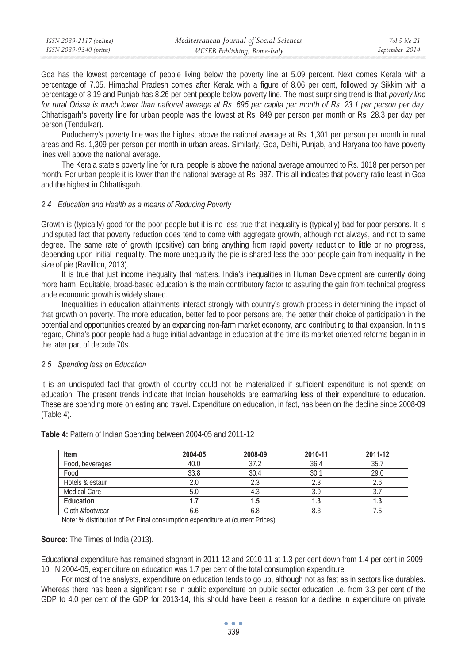| ISSN 2039-2117 (online) | Mediterranean Journal of Social Sciences | Vol 5 No 21    |
|-------------------------|------------------------------------------|----------------|
| ISSN 2039-9340 (print)  | MCSER Publishing, Rome-Italy             | September 2014 |

Goa has the lowest percentage of people living below the poverty line at 5.09 percent. Next comes Kerala with a percentage of 7.05. Himachal Pradesh comes after Kerala with a figure of 8.06 per cent, followed by Sikkim with a percentage of 8.19 and Punjab has 8.26 per cent people below poverty line. The most surprising trend is that *poverty line for rural Orissa is much lower than national average at Rs. 695 per capita per month of Rs. 23.1 per person per day.* Chhattisgarh's poverty line for urban people was the lowest at Rs. 849 per person per month or Rs. 28.3 per day per person (Tendulkar).

Puducherry's poverty line was the highest above the national average at Rs. 1,301 per person per month in rural areas and Rs. 1,309 per person per month in urban areas. Similarly, Goa, Delhi, Punjab, and Haryana too have poverty lines well above the national average.

The Kerala state's poverty line for rural people is above the national average amounted to Rs. 1018 per person per month. For urban people it is lower than the national average at Rs. 987. This all indicates that poverty ratio least in Goa and the highest in Chhattisgarh.

#### *2.4 Education and Health as a means of Reducing Poverty*

Growth is (typically) good for the poor people but it is no less true that inequality is (typically) bad for poor persons. It is undisputed fact that poverty reduction does tend to come with aggregate growth, although not always, and not to same degree. The same rate of growth (positive) can bring anything from rapid poverty reduction to little or no progress, depending upon initial inequality. The more unequality the pie is shared less the poor people gain from inequality in the size of pie (Ravillion, 2013).

It is true that just income inequality that matters. India's inequalities in Human Development are currently doing more harm. Equitable, broad-based education is the main contributory factor to assuring the gain from technical progress ande economic growth is widely shared.

Inequalities in education attainments interact strongly with country's growth process in determining the impact of that growth on poverty. The more education, better fed to poor persons are, the better their choice of participation in the potential and opportunities created by an expanding non-farm market economy, and contributing to that expansion. In this regard, China's poor people had a huge initial advantage in education at the time its market-oriented reforms began in in the later part of decade 70s.

### *2.5 Spending less on Education*

It is an undisputed fact that growth of country could not be materialized if sufficient expenditure is not spends on education. The present trends indicate that Indian households are earmarking less of their expenditure to education. These are spending more on eating and travel. Expenditure on education, in fact, has been on the decline since 2008-09 (Table 4).

| Item                | 2004-05 | 2008-09 | 2010-11 | 2011-12 |
|---------------------|---------|---------|---------|---------|
| Food, beverages     | 40.0    | 37.2    | 36.4    | 35.7    |
| Food                | 33.8    | 30.4    | 30.1    | 29.0    |
| Hotels & estaur     |         |         |         |         |
| <b>Medical Care</b> |         | 4.3     |         |         |
| <b>Education</b>    |         | 1.5     |         | 1.0     |
| Cloth &footwear     |         | 6.8     |         |         |

**Table 4:** Pattern of Indian Spending between 2004-05 and 2011-12

Note: % distribution of Pvt Final consumption expenditure at (current Prices)

**Source:** The Times of India (2013).

Educational expenditure has remained stagnant in 2011-12 and 2010-11 at 1.3 per cent down from 1.4 per cent in 2009- 10. IN 2004-05, expenditure on education was 1.7 per cent of the total consumption expenditure.

For most of the analysts, expenditure on education tends to go up, although not as fast as in sectors like durables. Whereas there has been a significant rise in public expenditure on public sector education i.e. from 3.3 per cent of the GDP to 4.0 per cent of the GDP for 2013-14, this should have been a reason for a decline in expenditure on private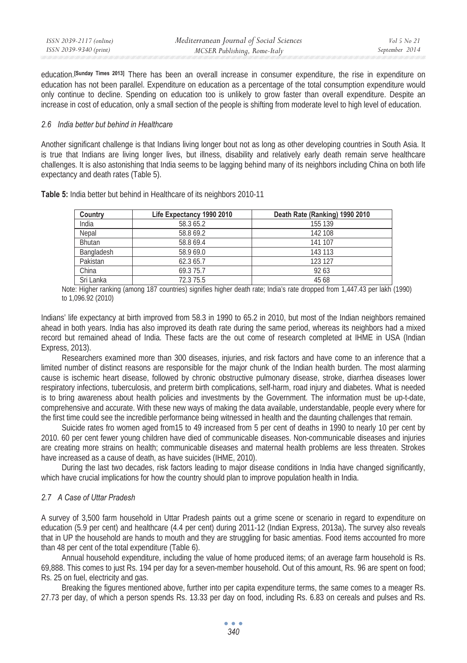| ISSN 2039-2117 (online) | Mediterranean Journal of Social Sciences | Vol 5 No 21    |
|-------------------------|------------------------------------------|----------------|
| ISSN 2039-9340 (print)  | MCSER Publishing, Rome-Italy             | September 2014 |

education.**[Sunday Times 2013]** There has been an overall increase in consumer expenditure, the rise in expenditure on education has not been parallel. Expenditure on education as a percentage of the total consumption expenditure would only continue to decline. Spending on education too is unlikely to grow faster than overall expenditure. Despite an increase in cost of education, only a small section of the people is shifting from moderate level to high level of education.

#### *2.6 India better but behind in Healthcare*

Another significant challenge is that Indians living longer bout not as long as other developing countries in South Asia. It is true that Indians are living longer lives, but illness, disability and relatively early death remain serve healthcare challenges. It is also astonishing that India seems to be lagging behind many of its neighbors including China on both life expectancy and death rates (Table 5).

| Country           | Life Expectancy 1990 2010 | Death Rate (Ranking) 1990 2010 |
|-------------------|---------------------------|--------------------------------|
| India             | 58.3 65.2                 | 155 139                        |
| Nepal             | 58.8 69.2                 | 142 108                        |
| <b>Bhutan</b>     | 58.869.4                  | 141 107                        |
| <b>Bangladesh</b> | 58.969.0                  | 143 113                        |
| Pakistan          | 62.3 65.7                 | 123 127                        |
| China             | 69.375.7                  | 9263                           |
| Sri Lanka         | 72.375.5                  | 45 68                          |

**Table 5:** India better but behind in Healthcare of its neighbors 2010-11

Note: Higher ranking (among 187 countries) signifies higher death rate; India's rate dropped from 1,447.43 per lakh (1990) to 1,096.92 (2010)

Indians' life expectancy at birth improved from 58.3 in 1990 to 65.2 in 2010, but most of the Indian neighbors remained ahead in both years. India has also improved its death rate during the same period, whereas its neighbors had a mixed record but remained ahead of India. These facts are the out come of research completed at IHME in USA (Indian Express, 2013).

Researchers examined more than 300 diseases, injuries, and risk factors and have come to an inference that a limited number of distinct reasons are responsible for the major chunk of the Indian health burden. The most alarming cause is ischemic heart disease, followed by chronic obstructive pulmonary disease, stroke, diarrhea diseases lower respiratory infections, tuberculosis, and preterm birth complications, self-harm, road injury and diabetes. What is needed is to bring awareness about health policies and investments by the Government. The information must be up-t-date, comprehensive and accurate. With these new ways of making the data available, understandable, people every where for the first time could see the incredible performance being witnessed in health and the daunting challenges that remain.

Suicide rates fro women aged from15 to 49 increased from 5 per cent of deaths in 1990 to nearly 10 per cent by 2010. 60 per cent fewer young children have died of communicable diseases. Non-communicable diseases and injuries are creating more strains on health; communicable diseases and maternal health problems are less threaten. Strokes have increased as a cause of death, as have suicides (IHME, 2010).

During the last two decades, risk factors leading to major disease conditions in India have changed significantly, which have crucial implications for how the country should plan to improve population health in India.

### *2.7 A Case of Uttar Pradesh*

A survey of 3,500 farm household in Uttar Pradesh paints out a grime scene or scenario in regard to expenditure on education (5.9 per cent) and healthcare (4.4 per cent) during 2011-12 (Indian Express, 2013a)**.** The survey also reveals that in UP the household are hands to mouth and they are struggling for basic amentias. Food items accounted fro more than 48 per cent of the total expenditure (Table 6).

Annual household expenditure, including the value of home produced items; of an average farm household is Rs. 69,888. This comes to just Rs. 194 per day for a seven-member household. Out of this amount, Rs. 96 are spent on food; Rs. 25 on fuel, electricity and gas.

Breaking the figures mentioned above, further into per capita expenditure terms, the same comes to a meager Rs. 27.73 per day, of which a person spends Rs. 13.33 per day on food, including Rs. 6.83 on cereals and pulses and Rs.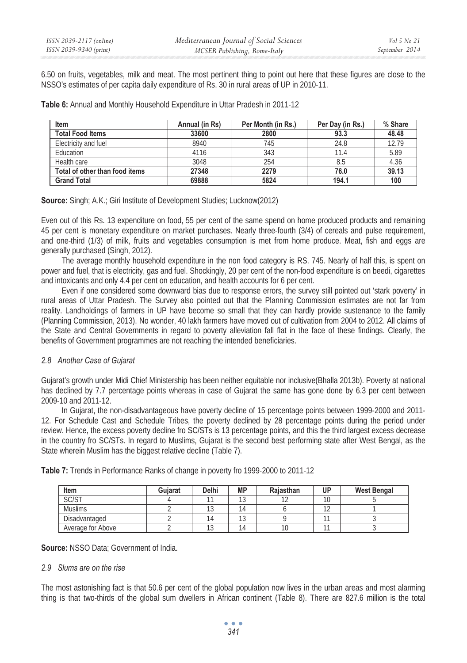6.50 on fruits, vegetables, milk and meat. The most pertinent thing to point out here that these figures are close to the NSSO's estimates of per capita daily expenditure of Rs. 30 in rural areas of UP in 2010-11.

|  | <b>Table 6:</b> Annual and Monthly Household Expenditure in Uttar Pradesh in 2011-12 |
|--|--------------------------------------------------------------------------------------|
|--|--------------------------------------------------------------------------------------|

| Item                           | Annual (in Rs) | Per Month (in Rs.) | Per Day (in Rs.) | % Share |
|--------------------------------|----------------|--------------------|------------------|---------|
| <b>Total Food Items</b>        | 33600          | 2800               | 93.3             | 48.48   |
| Electricity and fuel           | 8940           | 745                | 24.8             | 12.79   |
| Education                      | 4116           | 343                | 11.4             | 5.89    |
| Health care                    | 3048           | 254                | 8.5              | 4.36    |
| Total of other than food items | 27348          | 2279               | 76.0             | 39.13   |
| <b>Grand Total</b>             | 69888          | 5824               | 194.1            | 100     |

**Source:** Singh; A.K.; Giri Institute of Development Studies; Lucknow(2012)

Even out of this Rs. 13 expenditure on food, 55 per cent of the same spend on home produced products and remaining 45 per cent is monetary expenditure on market purchases. Nearly three-fourth (3/4) of cereals and pulse requirement, and one-third (1/3) of milk, fruits and vegetables consumption is met from home produce. Meat, fish and eggs are generally purchased (Singh, 2012).

The average monthly household expenditure in the non food category is RS. 745. Nearly of half this, is spent on power and fuel, that is electricity, gas and fuel. Shockingly, 20 per cent of the non-food expenditure is on beedi, cigarettes and intoxicants and only 4.4 per cent on education, and health accounts for 6 per cent.

Even if one considered some downward bias due to response errors, the survey still pointed out 'stark poverty' in rural areas of Uttar Pradesh. The Survey also pointed out that the Planning Commission estimates are not far from reality. Landholdings of farmers in UP have become so small that they can hardly provide sustenance to the family (Planning Commission, 2013). No wonder, 40 lakh farmers have moved out of cultivation from 2004 to 2012. All claims of the State and Central Governments in regard to poverty alleviation fall flat in the face of these findings. Clearly, the benefits of Government programmes are not reaching the intended beneficiaries.

# *2.8 Another Case of Gujarat*

Gujarat's growth under Midi Chief Ministership has been neither equitable nor inclusive(Bhalla 2013b). Poverty at national has declined by 7.7 percentage points whereas in case of Gujarat the same has gone done by 6.3 per cent between 2009-10 and 2011-12.

In Gujarat, the non-disadvantageous have poverty decline of 15 percentage points between 1999-2000 and 2011- 12. For Schedule Cast and Schedule Tribes, the poverty declined by 28 percentage points during the period under review. Hence, the excess poverty decline fro SC/STs is 13 percentage points, and this the third largest excess decrease in the country fro SC/STs. In regard to Muslims, Gujarat is the second best performing state after West Bengal, as the State wherein Muslim has the biggest relative decline (Table 7).

| Item              | Guiarat | <b>Delhi</b> | <b>MP</b>     | Raiasthan | UP            | <b>West Bengal</b> |
|-------------------|---------|--------------|---------------|-----------|---------------|--------------------|
| SC/ST             |         |              | $\sim$<br>ں ا |           |               |                    |
| <b>Muslims</b>    |         |              | 4             |           | $\sim$ $\sim$ |                    |
| Disadvantaged     |         |              | IJ            |           |               |                    |
| Average for Above |         | ∪ו           | 4             |           |               |                    |

**Table 7:** Trends in Performance Ranks of change in poverty fro 1999-2000 to 2011-12

**Source:** NSSO Data; Government of India.

# *2.9 Slums are on the rise*

The most astonishing fact is that 50.6 per cent of the global population now lives in the urban areas and most alarming thing is that two-thirds of the global sum dwellers in African continent (Table 8). There are 827.6 million is the total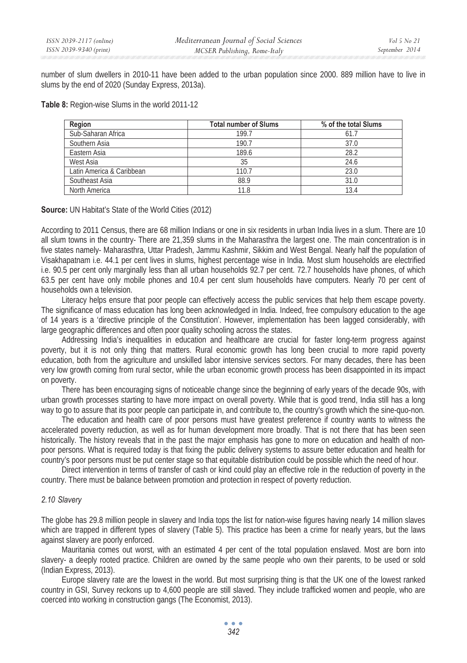number of slum dwellers in 2010-11 have been added to the urban population since 2000. 889 million have to live in slums by the end of 2020 (Sunday Express, 2013a).

**Table 8:** Region-wise Slums in the world 2011-12

| Region                    | <b>Total number of Slums</b> | % of the total Slums |
|---------------------------|------------------------------|----------------------|
| Sub-Saharan Africa        | 199.7                        | 61.7                 |
| Southern Asia             | 190.7                        | 37.0                 |
| Eastern Asia              | 189.6                        | 28.2                 |
| West Asia                 | 35                           | 24.6                 |
| Latin America & Caribbean | 110.7                        | 23.0                 |
| Southeast Asia            | 88.9                         | 31.0                 |
| North America             | 11.8                         | 13.4                 |

**Source:** UN Habitat's State of the World Cities (2012)

According to 2011 Census, there are 68 million Indians or one in six residents in urban India lives in a slum. There are 10 all slum towns in the country- There are 21,359 slums in the Maharasthra the largest one. The main concentration is in five states namely- Maharasthra, Uttar Pradesh, Jammu Kashmir, Sikkim and West Bengal. Nearly half the population of Visakhapatnam i.e. 44.1 per cent lives in slums, highest percentage wise in India. Most slum households are electrified i.e. 90.5 per cent only marginally less than all urban households 92.7 per cent. 72.7 households have phones, of which 63.5 per cent have only mobile phones and 10.4 per cent slum households have computers. Nearly 70 per cent of households own a television.

Literacy helps ensure that poor people can effectively access the public services that help them escape poverty. The significance of mass education has long been acknowledged in India. Indeed, free compulsory education to the age of 14 years is a 'directive principle of the Constitution'. However, implementation has been lagged considerably, with large geographic differences and often poor quality schooling across the states.

Addressing India's inequalities in education and healthcare are crucial for faster long-term progress against poverty, but it is not only thing that matters. Rural economic growth has long been crucial to more rapid poverty education, both from the agriculture and unskilled labor intensive services sectors. For many decades, there has been very low growth coming from rural sector, while the urban economic growth process has been disappointed in its impact on poverty.

There has been encouraging signs of noticeable change since the beginning of early years of the decade 90s, with urban growth processes starting to have more impact on overall poverty. While that is good trend, India still has a long way to go to assure that its poor people can participate in, and contribute to, the country's growth which the sine-quo-non.

The education and health care of poor persons must have greatest preference if country wants to witness the accelerated poverty reduction, as well as for human development more broadly. That is not there that has been seen historically. The history reveals that in the past the major emphasis has gone to more on education and health of nonpoor persons. What is required today is that fixing the public delivery systems to assure better education and health for country's poor persons must be put center stage so that equitable distribution could be possible which the need of hour.

Direct intervention in terms of transfer of cash or kind could play an effective role in the reduction of poverty in the country. There must be balance between promotion and protection in respect of poverty reduction.

### *2.10 Slavery*

The globe has 29.8 million people in slavery and India tops the list for nation-wise figures having nearly 14 million slaves which are trapped in different types of slavery (Table 5). This practice has been a crime for nearly years, but the laws against slavery are poorly enforced.

Mauritania comes out worst, with an estimated 4 per cent of the total population enslaved. Most are born into slavery- a deeply rooted practice. Children are owned by the same people who own their parents, to be used or sold (Indian Express, 2013).

Europe slavery rate are the lowest in the world. But most surprising thing is that the UK one of the lowest ranked country in GSI, Survey reckons up to 4,600 people are still slaved. They include trafficked women and people, who are coerced into working in construction gangs (The Economist, 2013).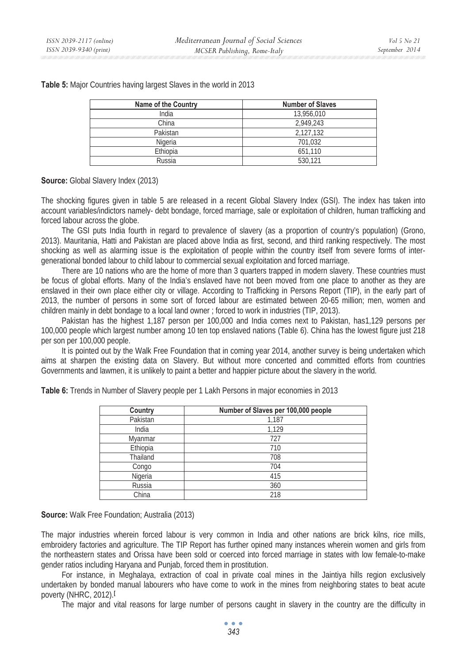| Name of the Country | <b>Number of Slaves</b> |
|---------------------|-------------------------|
| India               | 13.956.010              |
| China               | 2.949.243               |
| Pakistan            | 2.127.132               |
| Nigeria             | 701.032                 |
| Ethiopia            | 651.110                 |
| Russia              | 530.121                 |

**Table 5:** Major Countries having largest Slaves in the world in 2013

### **Source:** Global Slavery Index (2013)

The shocking figures given in table 5 are released in a recent Global Slavery Index (GSI). The index has taken into account variables/indictors namely- debt bondage, forced marriage, sale or exploitation of children, human trafficking and forced labour across the globe.

The GSI puts India fourth in regard to prevalence of slavery (as a proportion of country's population) (Grono, 2013). Mauritania, Hatti and Pakistan are placed above India as first, second, and third ranking respectively. The most shocking as well as alarming issue is the exploitation of people within the country itself from severe forms of intergenerational bonded labour to child labour to commercial sexual exploitation and forced marriage.

There are 10 nations who are the home of more than 3 quarters trapped in modern slavery. These countries must be focus of global efforts. Many of the India's enslaved have not been moved from one place to another as they are enslaved in their own place either city or village. According to Trafficking in Persons Report (TIP), in the early part of 2013, the number of persons in some sort of forced labour are estimated between 20-65 million; men, women and children mainly in debt bondage to a local land owner ; forced to work in industries (TIP, 2013).

Pakistan has the highest 1,187 person per 100,000 and India comes next to Pakistan, has1,129 persons per 100,000 people which largest number among 10 ten top enslaved nations (Table 6). China has the lowest figure just 218 per son per 100,000 people.

It is pointed out by the Walk Free Foundation that in coming year 2014, another survey is being undertaken which aims at sharpen the existing data on Slavery. But without more concerted and committed efforts from countries Governments and lawmen, it is unlikely to paint a better and happier picture about the slavery in the world.

| Country  | Number of Slaves per 100,000 people |
|----------|-------------------------------------|
| Pakistan | 1,187                               |
| India    | 1.129                               |
| Myanmar  | 727                                 |
| Ethiopia | 710                                 |
| Thailand | 708                                 |
| Congo    | 704                                 |
| Nigeria  | 415                                 |
| Russia   | 360                                 |
| China    | 218                                 |

**Table 6:** Trends in Number of Slavery people per 1 Lakh Persons in major economies in 2013

**Source:** Walk Free Foundation; Australia (2013)

The major industries wherein forced labour is very common in India and other nations are brick kilns, rice mills, embroidery factories and agriculture. The TIP Report has further opined many instances wherein women and girls from the northeastern states and Orissa have been sold or coerced into forced marriage in states with low female-to-make gender ratios including Haryana and Punjab, forced them in prostitution.

For instance, in Meghalaya, extraction of coal in private coal mines in the Jaintiya hills region exclusively undertaken by bonded manual labourers who have come to work in the mines from neighboring states to beat acute poverty (NHRC, 2012).**[** 

The major and vital reasons for large number of persons caught in slavery in the country are the difficulty in